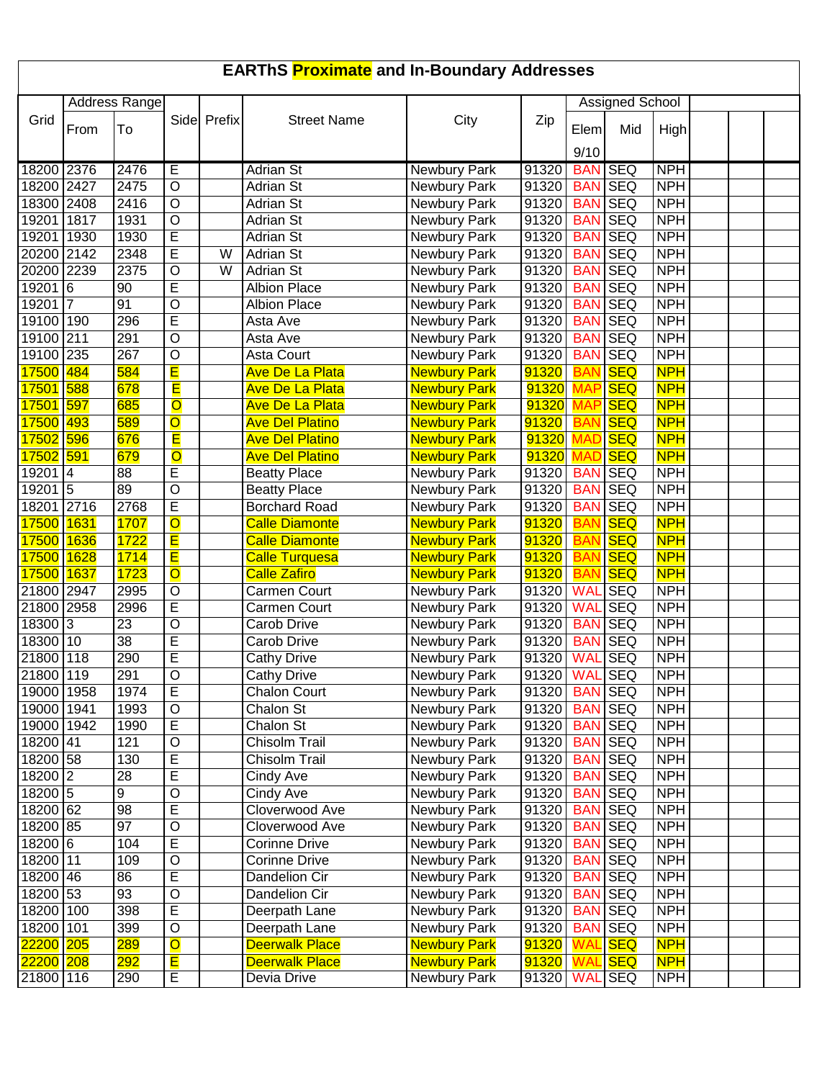| <b>EARThS Proximate and In-Boundary Addresses</b> |                |                      |                              |             |                                  |                              |                        |                                  |                   |                          |  |  |
|---------------------------------------------------|----------------|----------------------|------------------------------|-------------|----------------------------------|------------------------------|------------------------|----------------------------------|-------------------|--------------------------|--|--|
|                                                   |                | <b>Address Range</b> |                              |             |                                  |                              |                        | <b>Assigned School</b>           |                   |                          |  |  |
| Grid                                              | From           | To                   |                              | Side Prefix | <b>Street Name</b>               | City                         | Zip                    |                                  | Mid               |                          |  |  |
|                                                   |                |                      |                              |             |                                  |                              |                        | Elem                             |                   | High                     |  |  |
|                                                   |                |                      |                              |             |                                  |                              |                        | 9/10                             |                   |                          |  |  |
| 18200 2376                                        |                | 2476                 | Е                            |             | <b>Adrian St</b>                 | <b>Newbury Park</b>          | 91320                  | <b>BAN SEQ</b>                   |                   | <b>NPH</b>               |  |  |
| 18200 2427                                        |                | 2475                 | $\circ$                      |             | <b>Adrian St</b>                 | <b>Newbury Park</b>          | 91320                  |                                  | <b>BAN SEQ</b>    | <b>NPH</b>               |  |  |
| 18300 2408                                        |                | 2416                 | $\overline{0}$               |             | <b>Adrian St</b>                 | <b>Newbury Park</b>          | 91320                  |                                  | <b>BAN SEQ</b>    | <b>NPH</b>               |  |  |
| 19201                                             | 1817           | 1931                 | $\overline{O}$               |             | <b>Adrian St</b>                 | <b>Newbury Park</b>          | 91320                  |                                  | <b>BAN SEQ</b>    | <b>NPH</b>               |  |  |
| 19201 1930                                        |                | 1930                 | Ē                            |             | <b>Adrian St</b>                 | <b>Newbury Park</b>          | 91320                  |                                  | <b>BAN SEQ</b>    | <b>NPH</b>               |  |  |
| 20200 2142                                        |                | 2348                 | $\overline{\mathsf{E}}$      | W           | <b>Adrian St</b>                 | Newbury Park                 | 91320                  |                                  | <b>BAN SEQ</b>    | <b>NPH</b>               |  |  |
| 20200 2239                                        |                | 2375                 | $\overline{O}$               | W           | <b>Adrian St</b>                 | Newbury Park                 | 91320                  |                                  | <b>BAN SEQ</b>    | <b>NPH</b>               |  |  |
| 192016                                            |                | 90                   | $\overline{\mathsf{E}}$      |             | <b>Albion Place</b>              | Newbury Park                 | 91320                  |                                  | <b>BAN SEQ</b>    | <b>NPH</b>               |  |  |
| 19201                                             | $\overline{7}$ | 91                   | $\overline{O}$               |             | <b>Albion Place</b>              | Newbury Park                 | 91320                  | <b>BAN</b>                       | <b>SEQ</b>        | <b>NPH</b>               |  |  |
| 19100 190                                         |                | 296                  | $\overline{\mathsf{E}}$      |             | Asta Ave                         | Newbury Park                 | 91320                  | <b>BAN</b>                       | <b>SEQ</b>        | <b>NPH</b>               |  |  |
| 19100 211                                         |                | 291                  | $\overline{O}$               |             | Asta Ave                         | Newbury Park                 | 91320                  |                                  | <b>BAN SEQ</b>    | <b>NPH</b>               |  |  |
| 19100 235                                         |                | 267                  | $\overline{O}$               |             | Asta Court                       | Newbury Park                 | 91320                  |                                  | <b>BAN SEQ</b>    | <b>NPH</b>               |  |  |
| 17500                                             | 484            | 584                  | E                            |             | Ave De La Plata                  | <b>Newbury Park</b>          | 91320                  | <b>BA</b>                        | <b>SEQ</b>        | <b>NPH</b>               |  |  |
| 17501                                             | 588            | 678                  | E                            |             | Ave De La Plata                  | <b>Newbury Park</b>          | 91320                  | <b>MAF</b>                       | <b>SEQ</b>        | <b>NPH</b>               |  |  |
| 17501 597                                         |                | 685                  | $\overline{\textsf{O}}$      |             | <b>Ave De La Plata</b>           | <b>Newbury Park</b>          | 91320                  | <b>MAF</b>                       | <b>SEQ</b>        | <b>NPH</b>               |  |  |
| 17500 493                                         |                | 589                  | $\overline{\mathsf{o}}$      |             | <b>Ave Del Platino</b>           | <b>Newbury Park</b>          | 91320                  | <b>BAN</b>                       | <b>SEQ</b>        | <b>NPH</b>               |  |  |
| 17502 596                                         |                | 676                  | E                            |             | <b>Ave Del Platino</b>           | <b>Newbury Park</b>          | <b>91320 MAD</b>       |                                  | <b>SEQ</b>        | <b>NPH</b>               |  |  |
| <mark>17502 591</mark>                            |                | 679                  | $\overline{\textsf{O}}$      |             | <b>Ave Del Platino</b>           | <b>Newbury Park</b>          | 91320                  | <b>MAD</b>                       | <b>SEQ</b>        | <b>NPH</b>               |  |  |
| 192014                                            |                | 88                   | E                            |             | <b>Beatty Place</b>              | Newbury Park                 | 91320                  | <b>BAN</b>                       | <b>SEQ</b>        | <b>NPH</b>               |  |  |
| 19201 5                                           |                | 89                   | $\overline{O}$               |             | <b>Beatty Place</b>              | Newbury Park                 | 91320                  | <b>BAN SEQ</b>                   |                   | <b>NPH</b>               |  |  |
| 18201 2716                                        |                | 2768                 | E                            |             | Borchard Road                    | Newbury Park                 | 91320                  |                                  | <b>BAN SEQ</b>    | <b>NPH</b>               |  |  |
| 17500                                             | <b>1631</b>    | 1707                 | $\overline{\textsf{o}}$      |             | <b>Calle Diamonte</b>            | <b>Newbury Park</b>          | 91320                  | <b>BAN</b>                       | <b>SEQ</b>        | <b>NPH</b>               |  |  |
| 17500                                             | 1636           | 1722                 | E                            |             | <b>Calle Diamonte</b>            | <b>Newbury Park</b>          | 91320                  | <b>BAN</b>                       | $ $ SEQ           | <b>NPH</b>               |  |  |
| 17500                                             | 1628           | 1714                 | E                            |             | <b>Calle Turquesa</b>            | <b>Newbury Park</b>          | 91320                  | <b>BAN SEQ</b>                   |                   | <b>NPH</b>               |  |  |
| 17500                                             | 1637           | 1723                 | $\overline{\textsf{O}}$      |             | Calle Zafiro                     | <b>Newbury Park</b>          | 91320                  | <b>BAN</b>                       | $ $ SEQ           | <b>NPH</b>               |  |  |
| 21800                                             | 2947           | 2995                 | $\overline{O}$<br>E          |             | Carmen Court                     | Newbury Park                 | 91320                  | <b>WAL</b>                       | <b>SEQ</b>        | <b>NPH</b>               |  |  |
| 21800                                             | 2958           | 2996                 | $\overline{O}$               |             | Carmen Court                     | Newbury Park                 | 91320                  | <b>WAL</b>                       | <b>SEQ</b>        | <b>NPH</b>               |  |  |
| 18300 3<br>18300                                  | 10             | 23<br>38             | E                            |             | Carob Drive                      | Newbury Park                 | 91320                  |                                  | <b>BAN SEQ</b>    | <b>NPH</b><br><b>NPH</b> |  |  |
| 21800                                             | 118            |                      | E                            |             | Carob Drive                      | Newbury Park                 | 91320                  | <b>BAN</b><br><b>WAL</b>         | SEQ<br><b>SEQ</b> | <b>NPH</b>               |  |  |
| 21800 119                                         |                | 290                  |                              |             | <b>Cathy Drive</b>               | Newbury Park                 | 91320<br>91320 WAL SEQ |                                  |                   | <b>NPH</b>               |  |  |
|                                                   |                | 291<br>1974          | O<br>$\overline{\mathsf{E}}$ |             | Cathy Drive                      | Newbury Park                 |                        |                                  |                   | <b>NPH</b>               |  |  |
| 19000 1958<br>19000 1941                          |                | 1993                 | $\overline{O}$               |             | <b>Chalon Court</b><br>Chalon St | Newbury Park<br>Newbury Park | 91320<br>91320         | <b>BAN SEQ</b><br><b>BAN SEQ</b> |                   | <b>NPH</b>               |  |  |
| 19000 1942                                        |                | 1990                 | E                            |             | Chalon St                        | <b>Newbury Park</b>          | 91320                  |                                  | <b>BAN SEQ</b>    | <b>NPH</b>               |  |  |
| 18200 41                                          |                | 121                  | O                            |             | Chisolm Trail                    | Newbury Park                 | 91320                  |                                  | <b>BAN SEQ</b>    | <b>NPH</b>               |  |  |
| 18200 58                                          |                | 130                  | $\overline{E}$               |             | Chisolm Trail                    | Newbury Park                 | 91320                  |                                  | <b>BAN SEQ</b>    | <b>NPH</b>               |  |  |
| 18200 2                                           |                | 28                   | Е                            |             | Cindy Ave                        | Newbury Park                 | 91320                  |                                  | <b>BAN SEQ</b>    | <b>NPH</b>               |  |  |
| 18200 5                                           |                | 9                    | O                            |             | Cindy Ave                        | Newbury Park                 | 91320                  |                                  | <b>BAN SEQ</b>    | <b>NPH</b>               |  |  |
| 18200 62                                          |                | 98                   | E                            |             | Cloverwood Ave                   | Newbury Park                 | 91320                  |                                  | <b>BAN SEQ</b>    | <b>NPH</b>               |  |  |
| 18200 85                                          |                | 97                   | O                            |             | Cloverwood Ave                   | Newbury Park                 | 91320                  |                                  | <b>BAN SEQ</b>    | <b>NPH</b>               |  |  |
| $18200$ 6                                         |                | 104                  | $\overline{E}$               |             | <b>Corinne Drive</b>             | Newbury Park                 | 91320                  |                                  | <b>BAN SEQ</b>    | <b>NPH</b>               |  |  |
| 18200 11                                          |                | 109                  | $\overline{O}$               |             | <b>Corinne Drive</b>             | Newbury Park                 | 91320                  |                                  | <b>BAN SEQ</b>    | <b>NPH</b>               |  |  |
| 18200 46                                          |                | 86                   | E                            |             | Dandelion Cir                    | Newbury Park                 | 91320                  |                                  | <b>BAN SEQ</b>    | <b>NPH</b>               |  |  |
| 18200 53                                          |                | 93                   | $\overline{O}$               |             | Dandelion Cir                    | Newbury Park                 | 91320                  |                                  | <b>BAN SEQ</b>    | <b>NPH</b>               |  |  |
| 18200 100                                         |                | 398                  | $\overline{E}$               |             | Deerpath Lane                    | Newbury Park                 | 91320                  |                                  | <b>BAN SEQ</b>    | <b>NPH</b>               |  |  |
| 18200 101                                         |                | 399                  | $\circ$                      |             | Deerpath Lane                    | Newbury Park                 | 91320                  |                                  | <b>BAN SEQ</b>    | <b>NPH</b>               |  |  |
| 22200 205                                         |                | <b>289</b>           | $\overline{\textsf{o}}$      |             | <b>Deerwalk Place</b>            | <b>Newbury Park</b>          | 91320                  | <b>WAL</b>                       | <b>SEQ</b>        | <b>NPH</b>               |  |  |
| 22200 208                                         |                | <b>292</b>           | $\overline{\mathsf{E}}$      |             | <b>Deerwalk Place</b>            | <b>Newbury Park</b>          | 91320                  | <b>WAL</b> SEQ                   |                   | <b>NPH</b>               |  |  |
| 21800 116                                         |                | 290                  | E                            |             | Devia Drive                      | Newbury Park                 | 91320   WAL SEQ        |                                  |                   | <b>NPH</b>               |  |  |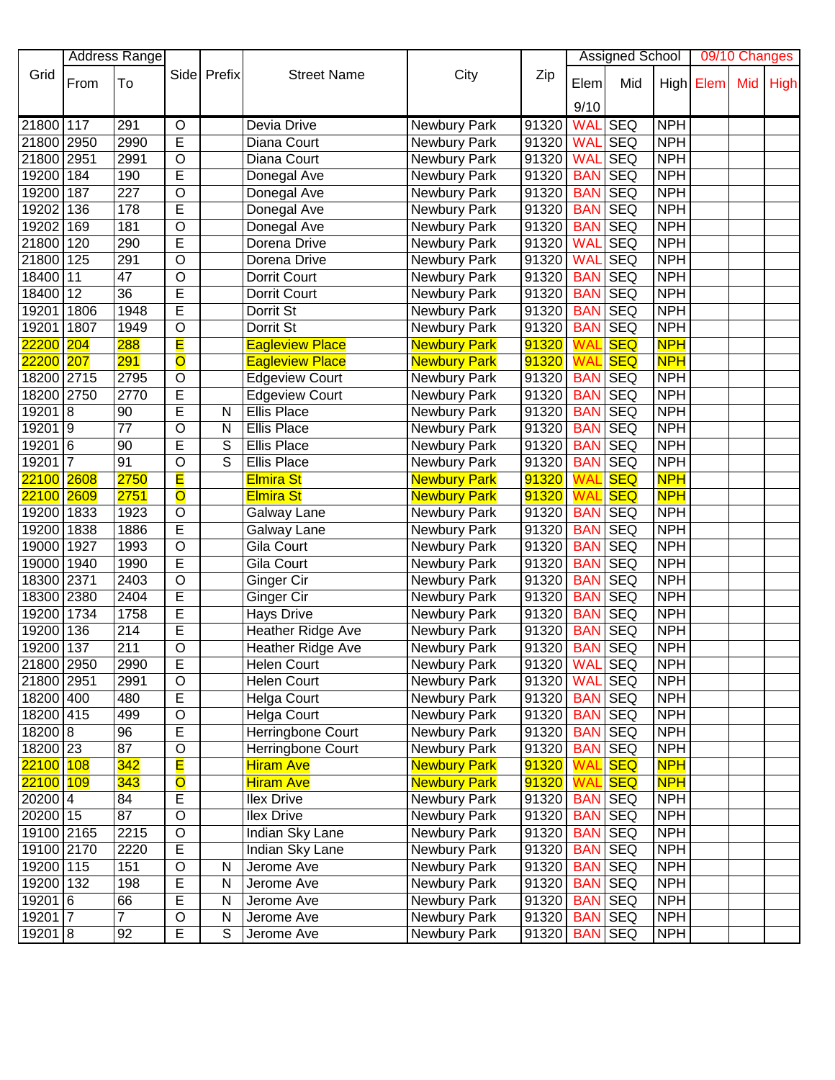|                         | <b>Address Range</b> |                  |                         |             |                          |                     |                   | <b>Assigned School</b> |                |            | 09/10 Changes |     |             |
|-------------------------|----------------------|------------------|-------------------------|-------------|--------------------------|---------------------|-------------------|------------------------|----------------|------------|---------------|-----|-------------|
| Grid                    |                      |                  |                         | Side Prefix | <b>Street Name</b>       | City                | Zip               |                        |                |            |               |     |             |
|                         | From                 | To               |                         |             |                          |                     |                   | Elem                   | Mid            |            | High Elem     | Mid | <b>High</b> |
|                         |                      |                  |                         |             |                          |                     |                   | 9/10                   |                |            |               |     |             |
| 21800 117               |                      | 291              | O                       |             | Devia Drive              | Newbury Park        | 91320             | <b>WAL</b>             | <b>SEQ</b>     | <b>NPH</b> |               |     |             |
| 21800 2950              |                      | 2990             | E                       |             | Diana Court              | Newbury Park        | 91320             | <b>WAL</b>             | <b>SEQ</b>     | <b>NPH</b> |               |     |             |
| 21800 2951              |                      | 2991             | $\circ$                 |             | Diana Court              | Newbury Park        | 91320             | <b>WAL</b>             | <b>SEQ</b>     | <b>NPH</b> |               |     |             |
| 19200 184               |                      | 190              | Ē                       |             | Donegal Ave              | Newbury Park        | 91320             | <b>BAN</b>             | <b>SEQ</b>     | <b>NPH</b> |               |     |             |
| 19200 187               |                      | 227              | $\overline{\rm o}$      |             | Donegal Ave              | Newbury Park        | 91320             | <b>BAN</b>             | <b>SEQ</b>     | <b>NPH</b> |               |     |             |
| 19202 136               |                      | $\overline{178}$ | E                       |             | Donegal Ave              | Newbury Park        | 91320             | <b>BAN</b>             | <b>SEQ</b>     | <b>NPH</b> |               |     |             |
| 19202 169               |                      | 181              | $\overline{\rm o}$      |             | Donegal Ave              | Newbury Park        | 91320             | <b>BAN</b>             | SEQ            | <b>NPH</b> |               |     |             |
|                         |                      | 290              | Ē                       |             |                          |                     |                   |                        | <b>SEQ</b>     | <b>NPH</b> |               |     |             |
| 21800 120               |                      |                  |                         |             | Dorena Drive             | Newbury Park        | 91320             | <b>WAL</b>             |                |            |               |     |             |
| 21800                   | 125                  | 291              | $\overline{O}$          |             | Dorena Drive             | Newbury Park        | 91320             | <b>WAL</b>             | <b>SEQ</b>     | <b>NPH</b> |               |     |             |
| 18400 11                |                      | $\overline{47}$  | O                       |             | Dorrit Court             | Newbury Park        | 91320             | <b>BAN</b>             | <b>SEQ</b>     | <b>NPH</b> |               |     |             |
| 18400 12                |                      | 36               | E                       |             | Dorrit Court             | Newbury Park        | 91320             | <b>BAN</b>             | <b>SEQ</b>     | <b>NPH</b> |               |     |             |
| 19201                   | 1806                 | 1948             | E                       |             | Dorrit St                | Newbury Park        | 91320             | <b>BAN</b>             | <b>SEQ</b>     | <b>NPH</b> |               |     |             |
| 19201                   | 1807                 | 1949             | O                       |             | Dorrit St                | Newbury Park        | 91320             | <b>BAN</b>             | <b>SEQ</b>     | <b>NPH</b> |               |     |             |
| <mark>22200</mark>      | 204                  | 288              | E                       |             | <b>Eagleview Place</b>   | <b>Newbury Park</b> | 91320             | WА                     | <b>SEQ</b>     | <b>NPH</b> |               |     |             |
| 22200                   | 207                  | 291              | $\overline{\textsf{O}}$ |             | <b>Eagleview Place</b>   | <b>Newbury Park</b> | 91320             | WAL                    | <b>SEQ</b>     | <b>NPH</b> |               |     |             |
| 18200 2715              |                      | 2795             | O                       |             | Edgeview Court           | Newbury Park        | 91320             | <b>BAN</b>             | <b>SEQ</b>     | <b>NPH</b> |               |     |             |
| 18200                   | 2750                 | 2770             | E                       |             | <b>Edgeview Court</b>    | Newbury Park        | 91320             | <b>BAN</b>             | <b>SEQ</b>     | <b>NPH</b> |               |     |             |
| 19201 8                 |                      | 90               | E                       | N           | Ellis Place              | Newbury Park        | 91320             | <b>BAN</b>             | <b>SEQ</b>     | <b>NPH</b> |               |     |             |
| 192019                  |                      | $\overline{77}$  | $\overline{O}$          | N           | <b>Ellis Place</b>       | Newbury Park        | 91320             | <b>BAN</b>             | <b>SEQ</b>     | <b>NPH</b> |               |     |             |
| 19201 6                 |                      | 90               | Ē                       | S           | <b>Ellis Place</b>       | Newbury Park        | 91320             | <b>BAN</b>             | <b>SEQ</b>     | <b>NPH</b> |               |     |             |
| 19201 7                 |                      | 91               | $\overline{O}$          | S           | <b>Ellis Place</b>       | Newbury Park        | 91320             | <b>BAN</b>             | <b>SEQ</b>     | <b>NPH</b> |               |     |             |
| 22100 2608              |                      | 2750             | E                       |             | <b>Elmira St</b>         | <b>Newbury Park</b> | 91320             | <b>WAL</b>             | <b>SEQ</b>     | <b>NPH</b> |               |     |             |
| <mark>22100</mark> 2609 |                      | 2751             | $\overline{\textbf{O}}$ |             | <b>Elmira St</b>         | <b>Newbury Park</b> | 91320             | WAL                    | <b>SEQ</b>     | <b>NPH</b> |               |     |             |
| 19200 1833              |                      | 1923             | $\circ$                 |             | Galway Lane              | Newbury Park        | 91320             | <b>BAN</b>             | <b>SEQ</b>     | <b>NPH</b> |               |     |             |
| 19200                   | 1838                 | 1886             | E                       |             | Galway Lane              | Newbury Park        | 91320             | <b>BAN</b>             | <b>SEQ</b>     | <b>NPH</b> |               |     |             |
| 19000                   | 1927                 | 1993             | O                       |             | Gila Court               | Newbury Park        | 91320             | <b>BAN</b>             | <b>SEQ</b>     | <b>NPH</b> |               |     |             |
| 19000 1940              |                      | 1990             | E                       |             | Gila Court               |                     | 91320             | <b>BAN</b>             | <b>SEQ</b>     | <b>NPH</b> |               |     |             |
|                         |                      |                  | $\overline{0}$          |             |                          | Newbury Park        |                   |                        |                |            |               |     |             |
| 18300 2371              |                      | 2403             |                         |             | Ginger Cir               | Newbury Park        | 91320             | <b>BAN</b>             | <b>SEQ</b>     | <b>NPH</b> |               |     |             |
| 18300 2380              |                      | 2404             | E                       |             | Ginger Cir               | Newbury Park        | 91320             | <b>BAN</b>             | <b>SEQ</b>     | <b>NPH</b> |               |     |             |
| 19200 1734              |                      | 1758             | E                       |             | <b>Hays Drive</b>        | Newbury Park        | 91320             | <b>BAN</b>             | <b>SEQ</b>     | <b>NPH</b> |               |     |             |
| 19200                   | 136                  | 214              | E                       |             | <b>Heather Ridge Ave</b> | Newbury Park        | 91320             | <b>BAN</b>             | <b>SEQ</b>     | <b>NPH</b> |               |     |             |
| 19200 137               |                      | 211              | O                       |             | Heather Ridge Ave        | Newbury Park        | 91320             | <b>BAN</b>             | <b>SEQ</b>     | <b>NPH</b> |               |     |             |
| 21800 2950              |                      | 2990             | E                       |             | <b>Helen Court</b>       | Newbury Park        | 91320   WAL SEQ   |                        |                | <b>NPH</b> |               |     |             |
| 21800 2951              |                      | 2991             | O                       |             | Helen Court              | Newbury Park        | 91320             | <b>WAL SEQ</b>         |                | <b>NPH</b> |               |     |             |
| 18200 400               |                      | 480              | E                       |             | <b>Helga Court</b>       | Newbury Park        | 91320             | <b>BAN SEQ</b>         |                | <b>NPH</b> |               |     |             |
| 18200 415               |                      | 499              | O                       |             | <b>Helga Court</b>       | Newbury Park        | 91320             |                        | <b>BAN SEQ</b> | <b>NPH</b> |               |     |             |
| 18200 8                 |                      | 96               | E                       |             | Herringbone Court        | Newbury Park        | 91320             | <b>BAN SEQ</b>         |                | <b>NPH</b> |               |     |             |
| 18200 23                |                      | $\overline{87}$  | $\overline{O}$          |             | Herringbone Court        | Newbury Park        | 91320             |                        | <b>BAN SEQ</b> | <b>NPH</b> |               |     |             |
| 22100 108               |                      | 342              | E                       |             | <b>Hiram Ave</b>         | <b>Newbury Park</b> | 91320             | <b>WAL</b>             | <b>SEQ</b>     | <b>NPH</b> |               |     |             |
| 22100 109               |                      | 343              | $\overline{\textsf{o}}$ |             | <b>Hiram Ave</b>         | <b>Newbury Park</b> | 91320             | <b>WAL</b> SEQ         |                | <b>NPH</b> |               |     |             |
| $20200$ 4               |                      | 84               | Е                       |             | <b>Ilex Drive</b>        | Newbury Park        | 91320             | <b>BAN SEQ</b>         |                | <b>NPH</b> |               |     |             |
| 20200 15                |                      | 87               | $\overline{0}$          |             | Ilex Drive               | Newbury Park        | 91320             | <b>BAN SEQ</b>         |                | <b>NPH</b> |               |     |             |
| 19100 2165              |                      | 2215             | O                       |             | Indian Sky Lane          | Newbury Park        | 91320             |                        | <b>BAN SEQ</b> | <b>NPH</b> |               |     |             |
| 19100 2170              |                      | 2220             | E                       |             | Indian Sky Lane          | Newbury Park        | 91320             |                        | <b>BAN SEQ</b> | <b>NPH</b> |               |     |             |
| 19200 115               |                      | 151              | $\mathsf O$             | N           | Jerome Ave               | Newbury Park        | 91320             |                        | <b>BAN</b> SEQ | <b>NPH</b> |               |     |             |
| 19200 132               |                      | 198              | E                       | N           | Jerome Ave               | Newbury Park        | 91320             |                        | <b>BAN SEQ</b> | <b>NPH</b> |               |     |             |
| 19201 6                 |                      | 66               | E                       | N           | Jerome Ave               | Newbury Park        | 91320             |                        | <b>BAN SEQ</b> | <b>NPH</b> |               |     |             |
| $19201\overline{7}$     |                      | $\overline{7}$   | $\mathsf O$             | N           | Jerome Ave               |                     |                   |                        | <b>BAN SEQ</b> | <b>NPH</b> |               |     |             |
|                         |                      |                  |                         |             |                          | Newbury Park        | 91320             |                        |                |            |               |     |             |
| 19201 8                 |                      | 92               | E                       | S           | Jerome Ave               | Newbury Park        | 91320   BAN   SEQ |                        |                | <b>NPH</b> |               |     |             |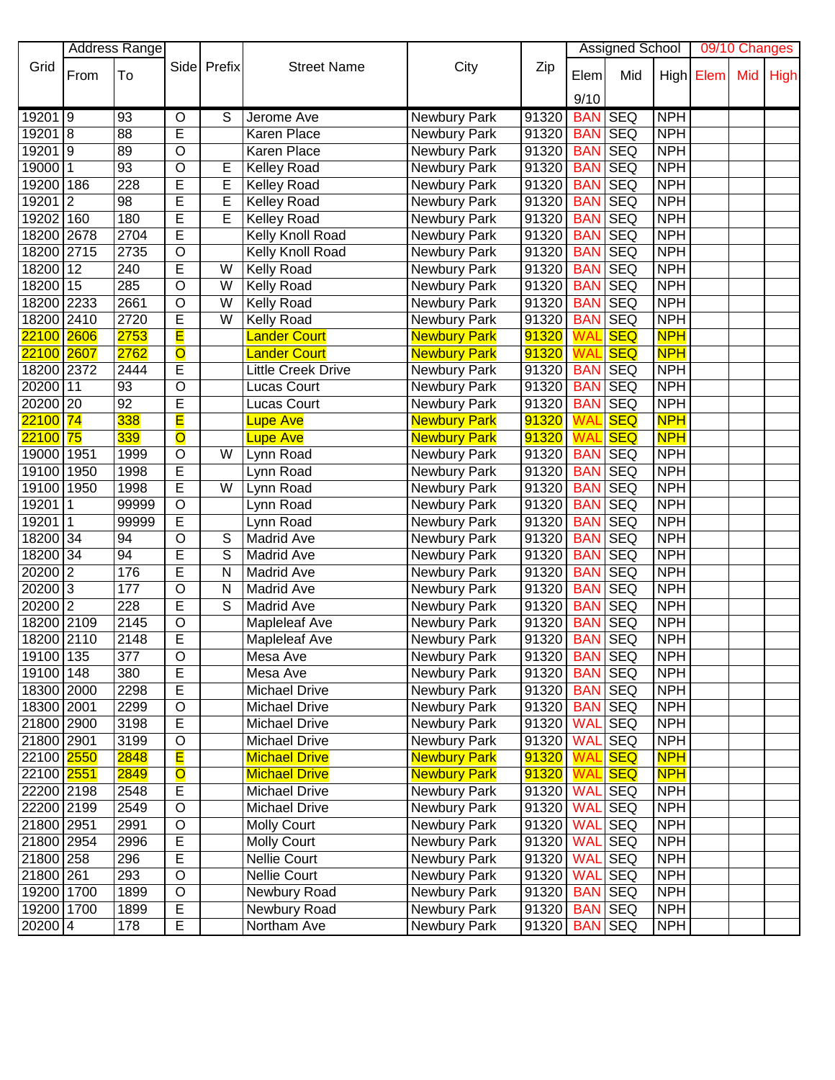| <b>Address Range</b><br><b>Assigned School</b><br>09/10 Changes<br>Grid<br>Prefix<br>City<br>Side<br><b>Street Name</b><br>Zip<br>From<br>To<br>Mid<br>High Elem<br>Mid<br><b>High</b><br>Elem<br>9/10<br>192019<br>S<br>91320<br><b>SEQ</b><br><b>NPH</b><br>93<br>$\circ$<br>Newbury Park<br><b>BAN</b><br>Jerome Ave<br>E<br>192018<br><b>NPH</b><br>88<br>Karen Place<br><b>SEQ</b><br>91320<br><b>BAN</b><br>Newbury Park<br>192019<br>$\overline{O}$<br><b>NPH</b><br>89<br>91320<br><b>SEQ</b><br>Karen Place<br>Newbury Park<br><b>BAN</b><br>$19000\overline{11}$<br>93<br>O<br>91320<br><b>SEQ</b><br><b>NPH</b><br>E<br>Newbury Park<br><b>BAN</b><br><b>Kelley Road</b><br>E<br><b>SEQ</b><br><b>NPH</b><br>228<br>E<br>91320<br>19200 186<br><b>Kelley Road</b><br><b>BAN</b><br>Newbury Park<br>Ē<br>$19201$ 2<br>E<br><b>NPH</b><br>98<br>91320<br><b>SEQ</b><br><b>Kelley Road</b><br>Newbury Park<br><b>BAN</b><br>Ē<br><b>SEQ</b><br><b>NPH</b><br>19202 160<br>180<br>E<br>91320<br><b>BAN</b><br><b>Kelley Road</b><br>Newbury Park<br>Ē<br><b>NPH</b><br>2704<br>91320<br><b>SEQ</b><br>18200 2678<br>Kelly Knoll Road<br>Newbury Park<br><b>BAN</b><br>$\overline{O}$<br><b>NPH</b><br>91320<br><b>SEQ</b><br>18200 2715<br>2735<br>Kelly Knoll Road<br>Newbury Park<br><b>BAN</b><br>Ē<br><b>NPH</b><br><b>SEQ</b><br>18200 12<br>240<br>W<br><b>Kelly Road</b><br>Newbury Park<br>91320<br><b>BAN</b><br>$\overline{\mathsf{o}}$<br>18200 15<br>285<br>91320<br><b>SEQ</b><br><b>NPH</b><br>W<br>Newbury Park<br><b>BAN</b><br>Kelly Road<br>O<br><b>SEQ</b><br><b>NPH</b><br>18200 2233<br>2661<br>W<br>Newbury Park<br>91320<br><b>BAN</b><br>Kelly Road<br>E<br><b>SEQ</b><br><b>NPH</b><br>18200 2410<br>2720<br>W<br>91320<br><b>Kelly Road</b><br>Newbury Park<br><b>BAN</b><br>E<br><b>NPH</b><br><mark>22100</mark> 2606<br>2753<br>91320<br><b>SEQ</b><br><b>Lander Court</b><br><b>Newbury Park</b><br><b>WAL</b><br>$\overline{O}$<br><b>NPH</b><br><mark>22100</mark> 2607<br>2762<br><b>Lander Court</b><br>91320<br><b>SEQ</b><br><b>Newbury Park</b><br><b>WAL</b><br>E<br>91320<br><b>NPH</b><br>18200 2372<br>2444<br><b>Little Creek Drive</b><br><b>BAN</b><br><b>SEQ</b><br>Newbury Park<br>20200 11<br>O<br><b>SEQ</b><br><b>NPH</b><br>93<br><b>Lucas Court</b><br>Newbury Park<br>91320<br><b>BAN</b><br>E<br>20200 20<br>92<br>91320<br><b>SEQ</b><br><b>NPH</b><br><b>Lucas Court</b><br><b>BAN</b><br>Newbury Park<br>Ē<br>338<br><b>SEQ</b><br>$22100$ 74<br>91320<br><b>NPH</b><br><b>Newbury Park</b><br><b>WAL</b><br><b>Lupe Ave</b> |
|---------------------------------------------------------------------------------------------------------------------------------------------------------------------------------------------------------------------------------------------------------------------------------------------------------------------------------------------------------------------------------------------------------------------------------------------------------------------------------------------------------------------------------------------------------------------------------------------------------------------------------------------------------------------------------------------------------------------------------------------------------------------------------------------------------------------------------------------------------------------------------------------------------------------------------------------------------------------------------------------------------------------------------------------------------------------------------------------------------------------------------------------------------------------------------------------------------------------------------------------------------------------------------------------------------------------------------------------------------------------------------------------------------------------------------------------------------------------------------------------------------------------------------------------------------------------------------------------------------------------------------------------------------------------------------------------------------------------------------------------------------------------------------------------------------------------------------------------------------------------------------------------------------------------------------------------------------------------------------------------------------------------------------------------------------------------------------------------------------------------------------------------------------------------------------------------------------------------------------------------------------------------------------------------------------------------------------------------------------------------------------------------------------------------------------------------------------------------------------------------------------------------------------------------------------------------------------------------|
|                                                                                                                                                                                                                                                                                                                                                                                                                                                                                                                                                                                                                                                                                                                                                                                                                                                                                                                                                                                                                                                                                                                                                                                                                                                                                                                                                                                                                                                                                                                                                                                                                                                                                                                                                                                                                                                                                                                                                                                                                                                                                                                                                                                                                                                                                                                                                                                                                                                                                                                                                                                             |
|                                                                                                                                                                                                                                                                                                                                                                                                                                                                                                                                                                                                                                                                                                                                                                                                                                                                                                                                                                                                                                                                                                                                                                                                                                                                                                                                                                                                                                                                                                                                                                                                                                                                                                                                                                                                                                                                                                                                                                                                                                                                                                                                                                                                                                                                                                                                                                                                                                                                                                                                                                                             |
|                                                                                                                                                                                                                                                                                                                                                                                                                                                                                                                                                                                                                                                                                                                                                                                                                                                                                                                                                                                                                                                                                                                                                                                                                                                                                                                                                                                                                                                                                                                                                                                                                                                                                                                                                                                                                                                                                                                                                                                                                                                                                                                                                                                                                                                                                                                                                                                                                                                                                                                                                                                             |
|                                                                                                                                                                                                                                                                                                                                                                                                                                                                                                                                                                                                                                                                                                                                                                                                                                                                                                                                                                                                                                                                                                                                                                                                                                                                                                                                                                                                                                                                                                                                                                                                                                                                                                                                                                                                                                                                                                                                                                                                                                                                                                                                                                                                                                                                                                                                                                                                                                                                                                                                                                                             |
|                                                                                                                                                                                                                                                                                                                                                                                                                                                                                                                                                                                                                                                                                                                                                                                                                                                                                                                                                                                                                                                                                                                                                                                                                                                                                                                                                                                                                                                                                                                                                                                                                                                                                                                                                                                                                                                                                                                                                                                                                                                                                                                                                                                                                                                                                                                                                                                                                                                                                                                                                                                             |
|                                                                                                                                                                                                                                                                                                                                                                                                                                                                                                                                                                                                                                                                                                                                                                                                                                                                                                                                                                                                                                                                                                                                                                                                                                                                                                                                                                                                                                                                                                                                                                                                                                                                                                                                                                                                                                                                                                                                                                                                                                                                                                                                                                                                                                                                                                                                                                                                                                                                                                                                                                                             |
|                                                                                                                                                                                                                                                                                                                                                                                                                                                                                                                                                                                                                                                                                                                                                                                                                                                                                                                                                                                                                                                                                                                                                                                                                                                                                                                                                                                                                                                                                                                                                                                                                                                                                                                                                                                                                                                                                                                                                                                                                                                                                                                                                                                                                                                                                                                                                                                                                                                                                                                                                                                             |
|                                                                                                                                                                                                                                                                                                                                                                                                                                                                                                                                                                                                                                                                                                                                                                                                                                                                                                                                                                                                                                                                                                                                                                                                                                                                                                                                                                                                                                                                                                                                                                                                                                                                                                                                                                                                                                                                                                                                                                                                                                                                                                                                                                                                                                                                                                                                                                                                                                                                                                                                                                                             |
|                                                                                                                                                                                                                                                                                                                                                                                                                                                                                                                                                                                                                                                                                                                                                                                                                                                                                                                                                                                                                                                                                                                                                                                                                                                                                                                                                                                                                                                                                                                                                                                                                                                                                                                                                                                                                                                                                                                                                                                                                                                                                                                                                                                                                                                                                                                                                                                                                                                                                                                                                                                             |
|                                                                                                                                                                                                                                                                                                                                                                                                                                                                                                                                                                                                                                                                                                                                                                                                                                                                                                                                                                                                                                                                                                                                                                                                                                                                                                                                                                                                                                                                                                                                                                                                                                                                                                                                                                                                                                                                                                                                                                                                                                                                                                                                                                                                                                                                                                                                                                                                                                                                                                                                                                                             |
|                                                                                                                                                                                                                                                                                                                                                                                                                                                                                                                                                                                                                                                                                                                                                                                                                                                                                                                                                                                                                                                                                                                                                                                                                                                                                                                                                                                                                                                                                                                                                                                                                                                                                                                                                                                                                                                                                                                                                                                                                                                                                                                                                                                                                                                                                                                                                                                                                                                                                                                                                                                             |
|                                                                                                                                                                                                                                                                                                                                                                                                                                                                                                                                                                                                                                                                                                                                                                                                                                                                                                                                                                                                                                                                                                                                                                                                                                                                                                                                                                                                                                                                                                                                                                                                                                                                                                                                                                                                                                                                                                                                                                                                                                                                                                                                                                                                                                                                                                                                                                                                                                                                                                                                                                                             |
|                                                                                                                                                                                                                                                                                                                                                                                                                                                                                                                                                                                                                                                                                                                                                                                                                                                                                                                                                                                                                                                                                                                                                                                                                                                                                                                                                                                                                                                                                                                                                                                                                                                                                                                                                                                                                                                                                                                                                                                                                                                                                                                                                                                                                                                                                                                                                                                                                                                                                                                                                                                             |
|                                                                                                                                                                                                                                                                                                                                                                                                                                                                                                                                                                                                                                                                                                                                                                                                                                                                                                                                                                                                                                                                                                                                                                                                                                                                                                                                                                                                                                                                                                                                                                                                                                                                                                                                                                                                                                                                                                                                                                                                                                                                                                                                                                                                                                                                                                                                                                                                                                                                                                                                                                                             |
|                                                                                                                                                                                                                                                                                                                                                                                                                                                                                                                                                                                                                                                                                                                                                                                                                                                                                                                                                                                                                                                                                                                                                                                                                                                                                                                                                                                                                                                                                                                                                                                                                                                                                                                                                                                                                                                                                                                                                                                                                                                                                                                                                                                                                                                                                                                                                                                                                                                                                                                                                                                             |
|                                                                                                                                                                                                                                                                                                                                                                                                                                                                                                                                                                                                                                                                                                                                                                                                                                                                                                                                                                                                                                                                                                                                                                                                                                                                                                                                                                                                                                                                                                                                                                                                                                                                                                                                                                                                                                                                                                                                                                                                                                                                                                                                                                                                                                                                                                                                                                                                                                                                                                                                                                                             |
|                                                                                                                                                                                                                                                                                                                                                                                                                                                                                                                                                                                                                                                                                                                                                                                                                                                                                                                                                                                                                                                                                                                                                                                                                                                                                                                                                                                                                                                                                                                                                                                                                                                                                                                                                                                                                                                                                                                                                                                                                                                                                                                                                                                                                                                                                                                                                                                                                                                                                                                                                                                             |
|                                                                                                                                                                                                                                                                                                                                                                                                                                                                                                                                                                                                                                                                                                                                                                                                                                                                                                                                                                                                                                                                                                                                                                                                                                                                                                                                                                                                                                                                                                                                                                                                                                                                                                                                                                                                                                                                                                                                                                                                                                                                                                                                                                                                                                                                                                                                                                                                                                                                                                                                                                                             |
|                                                                                                                                                                                                                                                                                                                                                                                                                                                                                                                                                                                                                                                                                                                                                                                                                                                                                                                                                                                                                                                                                                                                                                                                                                                                                                                                                                                                                                                                                                                                                                                                                                                                                                                                                                                                                                                                                                                                                                                                                                                                                                                                                                                                                                                                                                                                                                                                                                                                                                                                                                                             |
|                                                                                                                                                                                                                                                                                                                                                                                                                                                                                                                                                                                                                                                                                                                                                                                                                                                                                                                                                                                                                                                                                                                                                                                                                                                                                                                                                                                                                                                                                                                                                                                                                                                                                                                                                                                                                                                                                                                                                                                                                                                                                                                                                                                                                                                                                                                                                                                                                                                                                                                                                                                             |
|                                                                                                                                                                                                                                                                                                                                                                                                                                                                                                                                                                                                                                                                                                                                                                                                                                                                                                                                                                                                                                                                                                                                                                                                                                                                                                                                                                                                                                                                                                                                                                                                                                                                                                                                                                                                                                                                                                                                                                                                                                                                                                                                                                                                                                                                                                                                                                                                                                                                                                                                                                                             |
|                                                                                                                                                                                                                                                                                                                                                                                                                                                                                                                                                                                                                                                                                                                                                                                                                                                                                                                                                                                                                                                                                                                                                                                                                                                                                                                                                                                                                                                                                                                                                                                                                                                                                                                                                                                                                                                                                                                                                                                                                                                                                                                                                                                                                                                                                                                                                                                                                                                                                                                                                                                             |
| 339<br>$\overline{\mathsf{o}}$<br>91320<br><b>SEQ</b><br><b>NPH</b><br><mark>22100 75</mark><br><b>Lupe Ave</b><br><b>Newbury Park</b><br>WAL                                                                                                                                                                                                                                                                                                                                                                                                                                                                                                                                                                                                                                                                                                                                                                                                                                                                                                                                                                                                                                                                                                                                                                                                                                                                                                                                                                                                                                                                                                                                                                                                                                                                                                                                                                                                                                                                                                                                                                                                                                                                                                                                                                                                                                                                                                                                                                                                                                               |
| <b>SEQ</b><br>91320<br><b>NPH</b><br>19000 1951<br>$\circ$<br>1999<br>W<br>Lynn Road<br>Newbury Park<br><b>BAN</b>                                                                                                                                                                                                                                                                                                                                                                                                                                                                                                                                                                                                                                                                                                                                                                                                                                                                                                                                                                                                                                                                                                                                                                                                                                                                                                                                                                                                                                                                                                                                                                                                                                                                                                                                                                                                                                                                                                                                                                                                                                                                                                                                                                                                                                                                                                                                                                                                                                                                          |
| E<br><b>SEQ</b><br><b>NPH</b><br>19100 1950<br>1998<br>91320<br><b>BAN</b><br>Lynn Road<br>Newbury Park                                                                                                                                                                                                                                                                                                                                                                                                                                                                                                                                                                                                                                                                                                                                                                                                                                                                                                                                                                                                                                                                                                                                                                                                                                                                                                                                                                                                                                                                                                                                                                                                                                                                                                                                                                                                                                                                                                                                                                                                                                                                                                                                                                                                                                                                                                                                                                                                                                                                                     |
| E<br><b>SEQ</b><br>19100<br>1998<br>91320<br><b>NPH</b><br>1950<br>W<br>Lynn Road<br><b>BAN</b><br>Newbury Park                                                                                                                                                                                                                                                                                                                                                                                                                                                                                                                                                                                                                                                                                                                                                                                                                                                                                                                                                                                                                                                                                                                                                                                                                                                                                                                                                                                                                                                                                                                                                                                                                                                                                                                                                                                                                                                                                                                                                                                                                                                                                                                                                                                                                                                                                                                                                                                                                                                                             |
| <b>SEQ</b><br><b>NPH</b><br>O<br>91320<br><b>BAN</b><br>19201<br>$\mathbf 1$<br>99999<br>Newbury Park<br>Lynn Road                                                                                                                                                                                                                                                                                                                                                                                                                                                                                                                                                                                                                                                                                                                                                                                                                                                                                                                                                                                                                                                                                                                                                                                                                                                                                                                                                                                                                                                                                                                                                                                                                                                                                                                                                                                                                                                                                                                                                                                                                                                                                                                                                                                                                                                                                                                                                                                                                                                                          |
| E<br><b>NPH</b><br>$\vert$ 1<br><b>SEQ</b><br>19201<br>Newbury Park<br>91320<br><b>BAN</b><br>99999<br>Lynn Road                                                                                                                                                                                                                                                                                                                                                                                                                                                                                                                                                                                                                                                                                                                                                                                                                                                                                                                                                                                                                                                                                                                                                                                                                                                                                                                                                                                                                                                                                                                                                                                                                                                                                                                                                                                                                                                                                                                                                                                                                                                                                                                                                                                                                                                                                                                                                                                                                                                                            |
| $\overline{O}$<br><b>NPH</b><br>18200 34<br><b>SEQ</b><br>94<br>S<br><b>Madrid Ave</b><br>Newbury Park<br>91320<br><b>BAN</b>                                                                                                                                                                                                                                                                                                                                                                                                                                                                                                                                                                                                                                                                                                                                                                                                                                                                                                                                                                                                                                                                                                                                                                                                                                                                                                                                                                                                                                                                                                                                                                                                                                                                                                                                                                                                                                                                                                                                                                                                                                                                                                                                                                                                                                                                                                                                                                                                                                                               |
| Ē<br>NPH<br>18200 34<br>94<br>S<br><b>SEQ</b><br>Madrid Ave<br>Newbury Park<br>91320<br><b>BAN</b>                                                                                                                                                                                                                                                                                                                                                                                                                                                                                                                                                                                                                                                                                                                                                                                                                                                                                                                                                                                                                                                                                                                                                                                                                                                                                                                                                                                                                                                                                                                                                                                                                                                                                                                                                                                                                                                                                                                                                                                                                                                                                                                                                                                                                                                                                                                                                                                                                                                                                          |
| Ē<br>20200<br>$\overline{2}$<br>176<br><b>SEQ</b><br><b>NPH</b><br>Madrid Ave<br>Newbury Park<br>91320<br><b>BAN</b><br>N                                                                                                                                                                                                                                                                                                                                                                                                                                                                                                                                                                                                                                                                                                                                                                                                                                                                                                                                                                                                                                                                                                                                                                                                                                                                                                                                                                                                                                                                                                                                                                                                                                                                                                                                                                                                                                                                                                                                                                                                                                                                                                                                                                                                                                                                                                                                                                                                                                                                   |
| 20200 3<br>O<br><b>SEQ</b><br><b>NPH</b><br>177<br>Madrid Ave<br>Newbury Park<br>91320<br><b>BAN</b><br>N                                                                                                                                                                                                                                                                                                                                                                                                                                                                                                                                                                                                                                                                                                                                                                                                                                                                                                                                                                                                                                                                                                                                                                                                                                                                                                                                                                                                                                                                                                                                                                                                                                                                                                                                                                                                                                                                                                                                                                                                                                                                                                                                                                                                                                                                                                                                                                                                                                                                                   |
| 20200 2<br>Ē<br>228<br>S<br><b>SEQ</b><br><b>NPH</b><br>Madrid Ave<br>Newbury Park<br>91320<br><b>BAN</b>                                                                                                                                                                                                                                                                                                                                                                                                                                                                                                                                                                                                                                                                                                                                                                                                                                                                                                                                                                                                                                                                                                                                                                                                                                                                                                                                                                                                                                                                                                                                                                                                                                                                                                                                                                                                                                                                                                                                                                                                                                                                                                                                                                                                                                                                                                                                                                                                                                                                                   |
| 18200 2109<br>O<br><b>NPH</b><br>2145<br>91320<br><b>SEQ</b><br><b>Mapleleaf Ave</b><br>Newbury Park<br><b>BAN</b>                                                                                                                                                                                                                                                                                                                                                                                                                                                                                                                                                                                                                                                                                                                                                                                                                                                                                                                                                                                                                                                                                                                                                                                                                                                                                                                                                                                                                                                                                                                                                                                                                                                                                                                                                                                                                                                                                                                                                                                                                                                                                                                                                                                                                                                                                                                                                                                                                                                                          |
| Ē<br>2148<br><b>SEQ</b><br><b>NPH</b><br>18200 2110<br>91320<br><b>BAN</b><br><b>Mapleleaf Ave</b><br>Newbury Park                                                                                                                                                                                                                                                                                                                                                                                                                                                                                                                                                                                                                                                                                                                                                                                                                                                                                                                                                                                                                                                                                                                                                                                                                                                                                                                                                                                                                                                                                                                                                                                                                                                                                                                                                                                                                                                                                                                                                                                                                                                                                                                                                                                                                                                                                                                                                                                                                                                                          |
| 19100 135<br>377<br>Newbury Park<br>91320 BAN SEQ<br><b>NPH</b><br>O<br>Mesa Ave                                                                                                                                                                                                                                                                                                                                                                                                                                                                                                                                                                                                                                                                                                                                                                                                                                                                                                                                                                                                                                                                                                                                                                                                                                                                                                                                                                                                                                                                                                                                                                                                                                                                                                                                                                                                                                                                                                                                                                                                                                                                                                                                                                                                                                                                                                                                                                                                                                                                                                            |
| E<br>19100 148<br>380<br>Mesa Ave<br>Newbury Park<br><b>BAN</b> SEQ<br><b>NPH</b><br>91320                                                                                                                                                                                                                                                                                                                                                                                                                                                                                                                                                                                                                                                                                                                                                                                                                                                                                                                                                                                                                                                                                                                                                                                                                                                                                                                                                                                                                                                                                                                                                                                                                                                                                                                                                                                                                                                                                                                                                                                                                                                                                                                                                                                                                                                                                                                                                                                                                                                                                                  |
| E<br><b>NPH</b><br>18300 2000<br>2298<br>Michael Drive<br>Newbury Park<br>91320<br><b>BAN SEQ</b>                                                                                                                                                                                                                                                                                                                                                                                                                                                                                                                                                                                                                                                                                                                                                                                                                                                                                                                                                                                                                                                                                                                                                                                                                                                                                                                                                                                                                                                                                                                                                                                                                                                                                                                                                                                                                                                                                                                                                                                                                                                                                                                                                                                                                                                                                                                                                                                                                                                                                           |
| O<br><b>NPH</b><br>18300 2001<br>2299<br>Newbury Park<br>91320<br><b>BAN SEQ</b><br><b>Michael Drive</b>                                                                                                                                                                                                                                                                                                                                                                                                                                                                                                                                                                                                                                                                                                                                                                                                                                                                                                                                                                                                                                                                                                                                                                                                                                                                                                                                                                                                                                                                                                                                                                                                                                                                                                                                                                                                                                                                                                                                                                                                                                                                                                                                                                                                                                                                                                                                                                                                                                                                                    |
| E<br><b>WAL SEQ</b><br><b>NPH</b><br>3198<br>Newbury Park<br>91320<br>21800 2900<br><b>Michael Drive</b>                                                                                                                                                                                                                                                                                                                                                                                                                                                                                                                                                                                                                                                                                                                                                                                                                                                                                                                                                                                                                                                                                                                                                                                                                                                                                                                                                                                                                                                                                                                                                                                                                                                                                                                                                                                                                                                                                                                                                                                                                                                                                                                                                                                                                                                                                                                                                                                                                                                                                    |
| 3199<br>O<br><b>WAL SEQ</b><br><b>NPH</b><br>21800 2901<br>Newbury Park<br>91320<br><b>Michael Drive</b>                                                                                                                                                                                                                                                                                                                                                                                                                                                                                                                                                                                                                                                                                                                                                                                                                                                                                                                                                                                                                                                                                                                                                                                                                                                                                                                                                                                                                                                                                                                                                                                                                                                                                                                                                                                                                                                                                                                                                                                                                                                                                                                                                                                                                                                                                                                                                                                                                                                                                    |
| E<br><b>SEQ</b><br><b>NPH</b><br>22100 2550<br>2848<br><b>Newbury Park</b><br>91320<br><b>Michael Drive</b><br><b>WAL</b>                                                                                                                                                                                                                                                                                                                                                                                                                                                                                                                                                                                                                                                                                                                                                                                                                                                                                                                                                                                                                                                                                                                                                                                                                                                                                                                                                                                                                                                                                                                                                                                                                                                                                                                                                                                                                                                                                                                                                                                                                                                                                                                                                                                                                                                                                                                                                                                                                                                                   |
| 22100 2551<br>$\overline{\textsf{o}}$<br>91320 WAL SEQ<br><b>NPH</b><br>2849<br><b>Michael Drive</b><br><b>Newbury Park</b>                                                                                                                                                                                                                                                                                                                                                                                                                                                                                                                                                                                                                                                                                                                                                                                                                                                                                                                                                                                                                                                                                                                                                                                                                                                                                                                                                                                                                                                                                                                                                                                                                                                                                                                                                                                                                                                                                                                                                                                                                                                                                                                                                                                                                                                                                                                                                                                                                                                                 |
| Ē<br>91320 WAL SEQ<br><b>NPH</b><br>22200 2198<br>2548<br>Michael Drive<br>Newbury Park                                                                                                                                                                                                                                                                                                                                                                                                                                                                                                                                                                                                                                                                                                                                                                                                                                                                                                                                                                                                                                                                                                                                                                                                                                                                                                                                                                                                                                                                                                                                                                                                                                                                                                                                                                                                                                                                                                                                                                                                                                                                                                                                                                                                                                                                                                                                                                                                                                                                                                     |
| $\overline{O}$<br><b>SEQ</b><br><b>NPH</b><br>22200 2199<br>2549<br><b>Michael Drive</b><br><b>Newbury Park</b><br>91320<br><b>WAL</b>                                                                                                                                                                                                                                                                                                                                                                                                                                                                                                                                                                                                                                                                                                                                                                                                                                                                                                                                                                                                                                                                                                                                                                                                                                                                                                                                                                                                                                                                                                                                                                                                                                                                                                                                                                                                                                                                                                                                                                                                                                                                                                                                                                                                                                                                                                                                                                                                                                                      |
| $\overline{O}$<br><b>Newbury Park</b><br><b>SEQ</b><br><b>NPH</b><br>21800 2951<br>2991<br><b>Molly Court</b><br><b>WAL</b><br>91320                                                                                                                                                                                                                                                                                                                                                                                                                                                                                                                                                                                                                                                                                                                                                                                                                                                                                                                                                                                                                                                                                                                                                                                                                                                                                                                                                                                                                                                                                                                                                                                                                                                                                                                                                                                                                                                                                                                                                                                                                                                                                                                                                                                                                                                                                                                                                                                                                                                        |
| E<br><b>NPH</b><br>21800 2954<br><b>Molly Court</b><br>Newbury Park<br><b>WAL</b><br><b>SEQ</b><br>2996<br>91320                                                                                                                                                                                                                                                                                                                                                                                                                                                                                                                                                                                                                                                                                                                                                                                                                                                                                                                                                                                                                                                                                                                                                                                                                                                                                                                                                                                                                                                                                                                                                                                                                                                                                                                                                                                                                                                                                                                                                                                                                                                                                                                                                                                                                                                                                                                                                                                                                                                                            |
| E<br><b>NPH</b><br>Nellie Court<br>Newbury Park<br><b>WAL</b><br><b>SEQ</b><br>21800 258<br>296<br>91320                                                                                                                                                                                                                                                                                                                                                                                                                                                                                                                                                                                                                                                                                                                                                                                                                                                                                                                                                                                                                                                                                                                                                                                                                                                                                                                                                                                                                                                                                                                                                                                                                                                                                                                                                                                                                                                                                                                                                                                                                                                                                                                                                                                                                                                                                                                                                                                                                                                                                    |
| O<br><b>Nellie Court</b><br>Newbury Park<br><b>NPH</b><br>21800 261<br>293<br>91320<br><b>WAL</b><br><b>SEQ</b>                                                                                                                                                                                                                                                                                                                                                                                                                                                                                                                                                                                                                                                                                                                                                                                                                                                                                                                                                                                                                                                                                                                                                                                                                                                                                                                                                                                                                                                                                                                                                                                                                                                                                                                                                                                                                                                                                                                                                                                                                                                                                                                                                                                                                                                                                                                                                                                                                                                                             |
| $\mathsf O$<br>Newbury Road<br>Newbury Park<br><b>BAN</b> SEQ<br><b>NPH</b><br>19200 1700<br>1899<br>91320                                                                                                                                                                                                                                                                                                                                                                                                                                                                                                                                                                                                                                                                                                                                                                                                                                                                                                                                                                                                                                                                                                                                                                                                                                                                                                                                                                                                                                                                                                                                                                                                                                                                                                                                                                                                                                                                                                                                                                                                                                                                                                                                                                                                                                                                                                                                                                                                                                                                                  |
| E<br>19200 1700<br>1899<br>Newbury Road<br>Newbury Park<br>91320<br><b>BAN SEQ</b><br><b>NPH</b>                                                                                                                                                                                                                                                                                                                                                                                                                                                                                                                                                                                                                                                                                                                                                                                                                                                                                                                                                                                                                                                                                                                                                                                                                                                                                                                                                                                                                                                                                                                                                                                                                                                                                                                                                                                                                                                                                                                                                                                                                                                                                                                                                                                                                                                                                                                                                                                                                                                                                            |
| E<br>20200 4<br>178<br>Northam Ave<br>Newbury Park<br><b>NPH</b><br>91320<br><b>BAN SEQ</b>                                                                                                                                                                                                                                                                                                                                                                                                                                                                                                                                                                                                                                                                                                                                                                                                                                                                                                                                                                                                                                                                                                                                                                                                                                                                                                                                                                                                                                                                                                                                                                                                                                                                                                                                                                                                                                                                                                                                                                                                                                                                                                                                                                                                                                                                                                                                                                                                                                                                                                 |